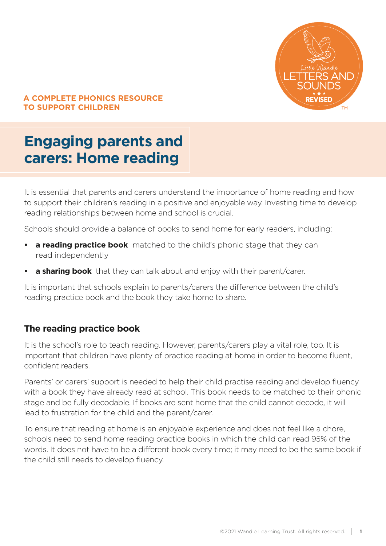

### **A COMPLETE PHONICS RESOURCE TO SUPPORT CHILDREN**

# **Engaging parents and carers: Home reading**

It is essential that parents and carers understand the importance of home reading and how to support their children's reading in a positive and enjoyable way. Investing time to develop reading relationships between home and school is crucial.

Schools should provide a balance of books to send home for early readers, including:

- **• a reading practice book** matched to the child's phonic stage that they can read independently
- **a sharing book** that they can talk about and enjoy with their parent/carer.

It is important that schools explain to parents/carers the difference between the child's reading practice book and the book they take home to share.

## **The reading practice book**

It is the school's role to teach reading. However, parents/carers play a vital role, too. It is important that children have plenty of practice reading at home in order to become fluent, confident readers.

Parents' or carers' support is needed to help their child practise reading and develop fluency with a book they have already read at school. This book needs to be matched to their phonic stage and be fully decodable. If books are sent home that the child cannot decode, it will lead to frustration for the child and the parent/carer.

To ensure that reading at home is an enjoyable experience and does not feel like a chore, schools need to send home reading practice books in which the child can read 95% of the words. It does not have to be a different book every time; it may need to be the same book if the child still needs to develop fluency.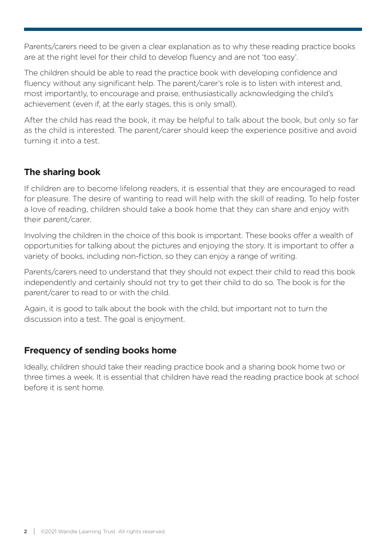Parents/carers need to be given a clear explanation as to why these reading practice books are at the right level for their child to develop fluency and are not 'too easy'.

The children should be able to read the practice book with developing confidence and fluency without any significant help. The parent/carer's role is to listen with interest and, most importantly, to encourage and praise, enthusiastically acknowledging the child's achievement (even if, at the early stages, this is only small).

After the child has read the book, it may be helpful to talk about the book, but only so far as the child is interested. The parent/carer should keep the experience positive and avoid turning it into a test.

# **The sharing book**

If children are to become lifelong readers, it is essential that they are encouraged to read for pleasure. The desire of wanting to read will help with the skill of reading. To help foster a love of reading, children should take a book home that they can share and enjoy with their parent/carer.

Involving the children in the choice of this book is important. These books offer a wealth of opportunities for talking about the pictures and enjoying the story. It is important to offer a variety of books, including non-fiction, so they can enjoy a range of writing.

Parents/carers need to understand that they should not expect their child to read this book independently and certainly should not try to get their child to do so. The book is for the parent/carer to read to or with the child.

Again, it is good to talk about the book with the child, but important not to turn the discussion into a test. The goal is enjoyment.

# **Frequency of sending books home**

Ideally, children should take their reading practice book and a sharing book home two or three times a week. It is essential that children have read the reading practice book at school before it is sent home.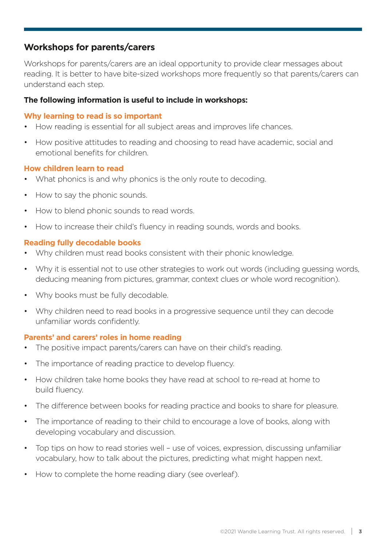# **Workshops for parents/carers**

Workshops for parents/carers are an ideal opportunity to provide clear messages about reading. It is better to have bite-sized workshops more frequently so that parents/carers can understand each step.

#### **The following information is useful to include in workshops:**

#### **Why learning to read is so important**

- How reading is essential for all subject areas and improves life chances.
- How positive attitudes to reading and choosing to read have academic, social and emotional benefits for children.

#### **How children learn to read**

- What phonics is and why phonics is the only route to decoding.
- How to say the phonic sounds.
- How to blend phonic sounds to read words.
- How to increase their child's fluency in reading sounds, words and books.

#### **Reading fully decodable books**

- Why children must read books consistent with their phonic knowledge.
- Why it is essential not to use other strategies to work out words (including guessing words, deducing meaning from pictures, grammar, context clues or whole word recognition).
- Why books must be fully decodable.
- Why children need to read books in a progressive sequence until they can decode unfamiliar words confidently.

#### **Parents' and carers' roles in home reading**

- The positive impact parents/carers can have on their child's reading.
- The importance of reading practice to develop fluency.
- How children take home books they have read at school to re-read at home to build fluency.
- The difference between books for reading practice and books to share for pleasure.
- The importance of reading to their child to encourage a love of books, along with developing vocabulary and discussion.
- Top tips on how to read stories well use of voices, expression, discussing unfamiliar vocabulary, how to talk about the pictures, predicting what might happen next.
- How to complete the home reading diary (see overleaf).